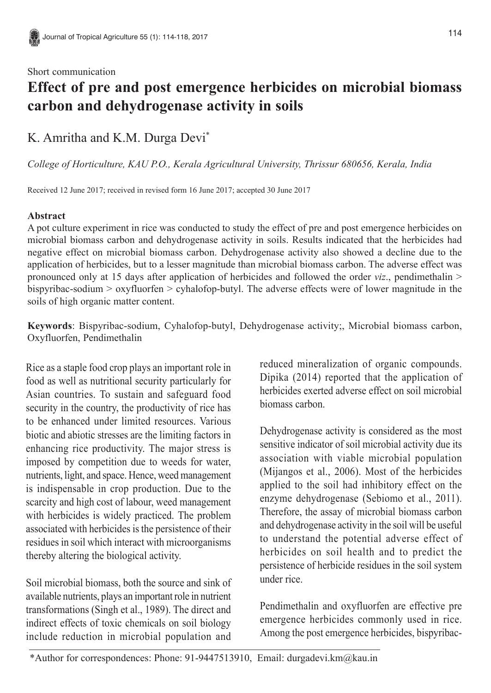## **Effect of pre and post emergence herbicides on microbial biomass carbon and dehydrogenase activity in soils**

K. Amritha and K.M. Durga Devi\*

*College of Horticulture, KAU P.O., Kerala Agricultural University, Thrissur 680656, Kerala, India*

Received 12 June 2017; received in revised form 16 June 2017; accepted 30 June 2017

## **Abstract**

A pot culture experiment in rice was conducted to study the effect of pre and post emergence herbicides on microbial biomass carbon and dehydrogenase activity in soils. Results indicated that the herbicides had negative effect on microbial biomass carbon. Dehydrogenase activity also showed a decline due to the application of herbicides, but to a lesser magnitude than microbial biomass carbon. The adverse effect was pronounced only at 15 days after application of herbicides and followed the order *viz*., pendimethalin > bispyribac-sodium > oxyfluorfen > cyhalofop-butyl. The adverse effects were of lower magnitude in the soils of high organic matter content.

**Keywords**: Bispyribac-sodium, Cyhalofop-butyl, Dehydrogenase activity;, Microbial biomass carbon, Oxyfluorfen, Pendimethalin

Rice as a staple food crop plays an important role in food as well as nutritional security particularly for Asian countries. To sustain and safeguard food security in the country, the productivity of rice has to be enhanced under limited resources. Various biotic and abiotic stresses are the limiting factors in enhancing rice productivity. The major stress is imposed by competition due to weeds for water, nutrients, light, and space. Hence, weed management is indispensable in crop production. Due to the scarcity and high cost of labour, weed management with herbicides is widely practiced. The problem associated with herbicides is the persistence of their residues in soil which interact with microorganisms thereby altering the biological activity.

Soil microbial biomass, both the source and sink of available nutrients, plays an important role in nutrient transformations (Singh et al., 1989). The direct and indirect effects of toxic chemicals on soil biology include reduction in microbial population and

reduced mineralization of organic compounds. Dipika (2014) reported that the application of herbicides exerted adverse effect on soil microbial biomass carbon.

Dehydrogenase activity is considered as the most sensitive indicator of soil microbial activity due its association with viable microbial population (Mijangos et al., 2006). Most of the herbicides applied to the soil had inhibitory effect on the enzyme dehydrogenase (Sebiomo et al., 2011). Therefore, the assay of microbial biomass carbon and dehydrogenase activity in the soil will be useful to understand the potential adverse effect of herbicides on soil health and to predict the persistence of herbicide residues in the soil system under rice.

Pendimethalin and oxyfluorfen are effective pre emergence herbicides commonly used in rice. Among the post emergence herbicides, bispyribac-

\*Author for correspondences: Phone: 91-9447513910, Email: durgadevi.km@kau.in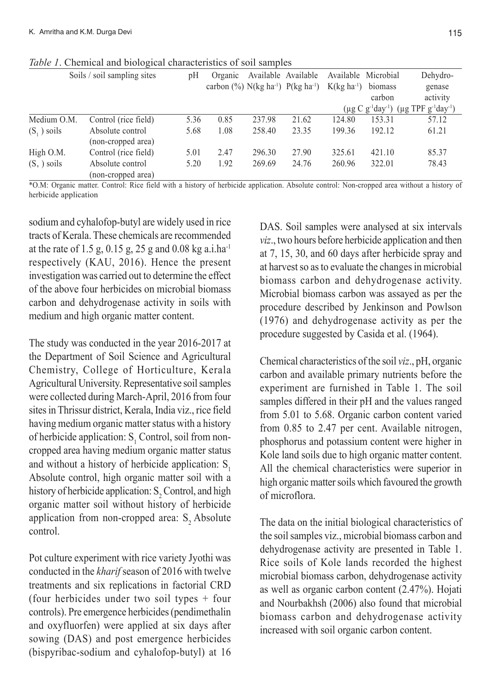|               | ັ                           |      |         |        |                                                               |                               |         |                                                         |
|---------------|-----------------------------|------|---------|--------|---------------------------------------------------------------|-------------------------------|---------|---------------------------------------------------------|
|               | Soils / soil sampling sites | pH   | Organic |        | Available Available                                           | Available Microbial           |         | Dehydro-                                                |
|               |                             |      |         |        | carbon $(\%)$ N(kg ha <sup>-1</sup> ) P(kg ha <sup>-1</sup> ) | $K(\text{kg} \text{ha}^{-1})$ | biomass | genase                                                  |
|               |                             |      |         |        |                                                               |                               | carbon  | activity                                                |
|               |                             |      |         |        |                                                               |                               |         | $(\mu g C g^{-1}day^{-1})$ $(\mu g TPF g^{-1}day^{-1})$ |
| Medium O.M.   | Control (rice field)        | 5.36 | 0.85    | 237.98 | 21.62                                                         | 124.80                        | 153.31  | 57.12                                                   |
| $(S_1)$ soils | Absolute control            | 5.68 | 1.08    | 258.40 | 23.35                                                         | 199.36                        | 192.12  | 61.21                                                   |
|               | (non-cropped area)          |      |         |        |                                                               |                               |         |                                                         |
| High O.M.     | Control (rice field)        | 5.01 | 2.47    | 296.30 | 27.90                                                         | 325.61                        | 421.10  | 85.37                                                   |
| $(S, )$ soils | Absolute control            | 5.20 | 1.92    | 269.69 | 24.76                                                         | 260.96                        | 322.01  | 78.43                                                   |
|               | (non-cropped area)          |      |         |        |                                                               |                               |         |                                                         |

\*O.M: Organic matter. Control: Rice field with a history of herbicide application. Absolute control: Non-cropped area without a history of herbicide application

sodium and cyhalofop-butyl are widely used in rice tracts of Kerala. These chemicals are recommended at the rate of 1.5 g, 0.15 g, 25 g and 0.08 kg a.i.ha<sup>-1</sup> respectively (KAU, 2016). Hence the present investigation was carried out to determine the effect of the above four herbicides on microbial biomass carbon and dehydrogenase activity in soils with medium and high organic matter content.

The study was conducted in the year 2016-2017 at the Department of Soil Science and Agricultural Chemistry, College of Horticulture, Kerala Agricultural University. Representative soil samples were collected during March-April, 2016 from four sites in Thrissur district, Kerala, India viz., rice field having medium organic matter status with a history of herbicide application:  $S<sub>1</sub>$  Control, soil from noncropped area having medium organic matter status and without a history of herbicide application:  $S_1$ Absolute control, high organic matter soil with a history of herbicide application:  $S_2$  Control, and high organic matter soil without history of herbicide application from non-cropped area:  $S$ , Absolute control.

Pot culture experiment with rice variety Jyothi was conducted in the *kharif* season of 2016 with twelve treatments and six replications in factorial CRD (four herbicides under two soil types + four controls). Pre emergence herbicides (pendimethalin and oxyfluorfen) were applied at six days after sowing (DAS) and post emergence herbicides (bispyribac-sodium and cyhalofop-butyl) at 16

DAS. Soil samples were analysed at six intervals *viz*., two hours before herbicide application and then at 7, 15, 30, and 60 days after herbicide spray and at harvest so as to evaluate the changes in microbial biomass carbon and dehydrogenase activity. Microbial biomass carbon was assayed as per the procedure described by Jenkinson and Powlson (1976) and dehydrogenase activity as per the procedure suggested by Casida et al. (1964).

Chemical characteristics of the soil *viz*., pH, organic carbon and available primary nutrients before the experiment are furnished in Table 1. The soil samples differed in their pH and the values ranged from 5.01 to 5.68. Organic carbon content varied from 0.85 to 2.47 per cent. Available nitrogen, phosphorus and potassium content were higher in Kole land soils due to high organic matter content. All the chemical characteristics were superior in high organic matter soils which favoured the growth of microflora.

The data on the initial biological characteristics of the soil samples viz., microbial biomass carbon and dehydrogenase activity are presented in Table 1. Rice soils of Kole lands recorded the highest microbial biomass carbon, dehydrogenase activity as well as organic carbon content (2.47%). Hojati and Nourbakhsh (2006) also found that microbial biomass carbon and dehydrogenase activity increased with soil organic carbon content.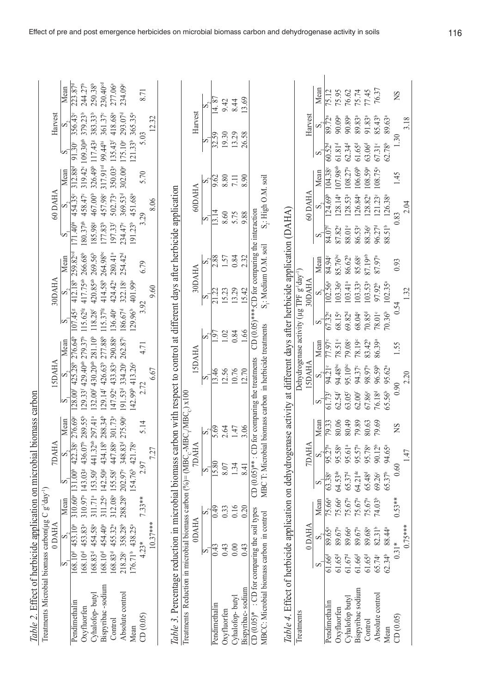| Table 2. Effect of herbicide application on microbial biomass carbon                                                            |                                                                           |                    |                     |                                                                                  |                    |                                                 |                    |                                                                                                                             |                    |                                              |                                                            |                                               |                                     |                                 |                                          |                                         |                               |                                         |
|---------------------------------------------------------------------------------------------------------------------------------|---------------------------------------------------------------------------|--------------------|---------------------|----------------------------------------------------------------------------------|--------------------|-------------------------------------------------|--------------------|-----------------------------------------------------------------------------------------------------------------------------|--------------------|----------------------------------------------|------------------------------------------------------------|-----------------------------------------------|-------------------------------------|---------------------------------|------------------------------------------|-----------------------------------------|-------------------------------|-----------------------------------------|
| Treatments Microbial biomass carbon( $\mu$ g C g <sup>1</sup> day <sup>1</sup> )                                                |                                                                           | <b>ODAHA</b>       |                     |                                                                                  | <b>TDAHA</b>       |                                                 |                    | <b>AHA</b>                                                                                                                  |                    |                                              | 30DAHA                                                     |                                               |                                     | 60 DAHA                         |                                          |                                         | Harvest                       |                                         |
|                                                                                                                                 | S                                                                         | $\infty$           | Mean                |                                                                                  |                    | Mean                                            | σō                 |                                                                                                                             | Mean               | s                                            |                                                            | Mean                                          |                                     |                                 | Mean                                     |                                         |                               | Mean                                    |
| Pendimethalin<br>Oxyfluorfen                                                                                                    | $168.10^4$ 453.83 <sup>a</sup><br>$\frac{168.10^{d} \times 453.1}{453.1}$ | Õ                  | 310.97 <sup>a</sup> | 310.60 <sup>a</sup> 131.00 <sup>h</sup> 422.38° 276.69°                          |                    | 143.038 436.07 <sup>b</sup> 289.55 <sup>b</sup> |                    | 129.33 <sup>r</sup> 429.40 <sup>ab</sup> 279.37 <sup>b</sup><br>128.00 <sup>6</sup> 425.28 <sup>b</sup> 276.64 <sup>b</sup> |                    | 107.45 <sup>8</sup><br>$15.62$ <sup>fg</sup> | $412.18^{\circ}$ 259.82 $^{\circ}$<br>417.75 <sup>ab</sup> | 266.68 <sup>b</sup>                           | $80.37$ gh<br>$171.40^{\mathrm{h}}$ | 458.47°<br>454.35°              | 312.88 <sup>d</sup>                      | 319.42° 109.30 <sup>gh</sup><br>91.30   | 379.23 <sup>b</sup><br>356.43 | 244.27 <sup>b</sup><br>$223.87^{\circ}$ |
| Cyhalofop-buty                                                                                                                  | 168.83 <sup>d</sup> 454.5                                                 | °°                 |                     | 311.71 <sup>a</sup> 153.50 <sup>f</sup> 441.32 <sup>ab</sup> 297.41 <sup>a</sup> |                    |                                                 |                    | 132.00 <sup>f</sup> 430.20 <sup>ab</sup> 281.10 <sup>b</sup>                                                                |                    | $118.28^{\rm f}$                             | 420.85 <sup>ab</sup>                                       | $269.56^{\circ}$                              | 185.98                              | 467.00 <sup>b</sup>             |                                          | 326.49 <sup>b</sup> 117.43 <sup>g</sup> | 383.33 <sup>b</sup>           | 250.38 <sup>b</sup>                     |
| Bispyribac-sodium                                                                                                               | 168.10 <sup>d</sup> 454.40 <sup>a</sup>                                   |                    | 311.25 <sup>a</sup> |                                                                                  |                    | 142.508 434.18 <sup>b</sup> 288.34 <sup>b</sup> |                    | 129.14 <sup>r</sup> 426.63 <sup>b</sup> 277.88 <sup>b</sup>                                                                 |                    | $15.37$ <sup>fg</sup>                        | 414.58 <sup>b</sup>                                        | 264.98 <sup>bc</sup>                          | 177.83h                             | 457.98                          | 317.91 <sup>ed</sup> 99.44 <sup>hi</sup> |                                         | 361.37°                       | 230.40 <sup>cd</sup>                    |
| Control                                                                                                                         | 168.83 <sup>d</sup> 455.32 <sup>a</sup>                                   |                    | 312.08ª             | 155.58 <sup>f</sup> 447.88 <sup>a</sup> 301.73 <sup>a</sup>                      |                    |                                                 |                    | 147.92° 433.83ª 290.88ª                                                                                                     |                    | 136.40 <sup>e</sup>                          | 424.42ª                                                    | $280.41^{a}$                                  | 197.33f                             | 502.73ª                         | 350.03ª                                  | $135.43$ <sup>r</sup>                   | 418.68ª                       | 277.06ª                                 |
| Absolute control                                                                                                                | 218.28 358.28                                                             |                    |                     | 288.28 202.97 348.83 <sup>d</sup>                                                |                    | 275.90°                                         |                    | 191.53 <sup>d</sup> 334.20° 262.87°                                                                                         |                    | 186.67 <sup>d</sup>                          | 322.18°                                                    | $254.42^{d}$                                  | 234.47 <sup>e</sup>                 | 369.53 <sup>d</sup>             | 302.00°                                  | 175.10 <sup>e</sup>                     | 293.07 <sup>d</sup>           | 234.09°                                 |
| Mean                                                                                                                            | 176.71 <sup>b</sup> 438.2                                                 | ů,                 |                     | 154.76 <sup>b</sup> 421.78 <sup>a</sup>                                          |                    |                                                 |                    | (42.99 <sup>b</sup> 413.26 <sup>a</sup>                                                                                     |                    | 29.96 <sup>b</sup>                           | 401.99ª                                                    |                                               | 91.23 <sup>b</sup>                  | 451.68ª                         |                                          | $121.33^b$ 365.35 <sup>a</sup>          |                               |                                         |
| CD(0.05)                                                                                                                        | $4.23*$                                                                   |                    | 7.33**              | 2.97                                                                             |                    | 5.14                                            | 2.72               |                                                                                                                             | 4.71               | 3.92                                         |                                                            | 6.79                                          |                                     | 3.29                            | 5.70                                     | 5.03                                    |                               | 8.71                                    |
|                                                                                                                                 |                                                                           | $10.37***$         |                     |                                                                                  | 7.27               |                                                 |                    | 6.67                                                                                                                        |                    |                                              | 9.60                                                       |                                               |                                     | 8.06                            |                                          |                                         | 12.32                         |                                         |
|                                                                                                                                 |                                                                           |                    |                     |                                                                                  |                    |                                                 |                    |                                                                                                                             |                    |                                              |                                                            |                                               |                                     |                                 |                                          |                                         |                               |                                         |
| Table 3. Percentage reduction in microbial biomass carbon with respect to control at different days after herbicide application |                                                                           |                    |                     |                                                                                  |                    |                                                 |                    |                                                                                                                             |                    |                                              |                                                            |                                               |                                     |                                 |                                          |                                         |                               |                                         |
| Treatments Reduction in microbial biomass carbon (%)= (MBC <sub>c</sub> -MBC <sub>c</sub> ) x100                                |                                                                           |                    |                     |                                                                                  |                    |                                                 |                    |                                                                                                                             |                    |                                              |                                                            |                                               |                                     |                                 |                                          |                                         |                               |                                         |
|                                                                                                                                 |                                                                           | <b>ODAHA</b>       |                     |                                                                                  | <b>AHA</b>         |                                                 |                    | <b>AHA</b>                                                                                                                  |                    |                                              | 30DAHA                                                     |                                               |                                     | 60DAHA                          |                                          |                                         | Harvest                       |                                         |
|                                                                                                                                 | ΙÑ                                                                        |                    | bî                  | M                                                                                |                    | s,                                              |                    | s                                                                                                                           |                    |                                              | s                                                          |                                               | $\sim$                              |                                 | တ်                                       | ∽                                       |                               |                                         |
| Pendimethalin                                                                                                                   | 0.43                                                                      |                    | 649                 | 15.80                                                                            |                    | 5.69                                            |                    | 13.46                                                                                                                       | S                  |                                              | 21.22                                                      | 2.88                                          |                                     | 13.14                           | 9.62                                     | 32.59                                   |                               | $\frac{8}{3}$                           |
| Oxyfluorfen                                                                                                                     | 0.43                                                                      |                    | 0.33                | 8.07                                                                             |                    | 2.64                                            |                    | 12.56                                                                                                                       | 1.02               |                                              | 15.23                                                      | 1.57                                          |                                     | 8.60                            | 8.80                                     | 19.30                                   |                               | 9.42                                    |
| Cyhalofop-butyl                                                                                                                 | 0.00                                                                      |                    | 0.16                | 1.34                                                                             |                    | 1.47                                            |                    | 10.76                                                                                                                       | $0.84\,$           |                                              | 13.29                                                      | 0.84                                          |                                     | 5.75                            | 7.11                                     | 13.29                                   |                               | 8.44                                    |
| Bispyribac-sodium                                                                                                               | 0.43                                                                      |                    | 0.20                | 8.41                                                                             |                    | 3.06                                            |                    | 12.70                                                                                                                       | 1.66               |                                              | 15.42                                                      | 2.32                                          |                                     | 9.88                            | 8.90                                     | 26.58                                   |                               | 3.69                                    |
| $CD$ (0.05)* : $CD$ for comparing the soil types                                                                                |                                                                           |                    |                     | CD $(0.05)$ <sup>**</sup> : CD for comparing the treatments                      |                    |                                                 |                    |                                                                                                                             |                    |                                              |                                                            | CD (0.05)***:CD for comparing the interaction |                                     |                                 |                                          |                                         |                               |                                         |
| MBCC: Microbial biomass carbon in                                                                                               |                                                                           | control            |                     | MBC T: Microbial biomass carbon in herbicide treatments                          |                    |                                                 |                    |                                                                                                                             |                    |                                              |                                                            | S <sub>1</sub> : Medium O.M. soil             |                                     | S <sub>2</sub> : High O.M. soil |                                          |                                         |                               |                                         |
|                                                                                                                                 |                                                                           |                    |                     |                                                                                  |                    |                                                 |                    |                                                                                                                             |                    |                                              |                                                            |                                               |                                     |                                 |                                          |                                         |                               |                                         |
| Table 4. Effect of herbicide application on dehydrogenase activity at different days after herbicide application (DAHA)         |                                                                           |                    |                     |                                                                                  |                    |                                                 |                    |                                                                                                                             |                    |                                              |                                                            |                                               |                                     |                                 |                                          |                                         |                               |                                         |
| Treatments                                                                                                                      |                                                                           |                    |                     |                                                                                  |                    |                                                 |                    | Dehydrogenase activity ( $\mu$ g TPF g <sup>-1</sup> day <sup>-1</sup> )                                                    |                    |                                              |                                                            |                                               |                                     |                                 |                                          |                                         |                               |                                         |
|                                                                                                                                 |                                                                           | 0 DAHA             |                     |                                                                                  | <b>AHA</b>         |                                                 |                    | <b>AHACSI</b>                                                                                                               |                    |                                              | <b>AHAOO</b>                                               |                                               |                                     | 60 DAHA                         |                                          |                                         | Harvest                       |                                         |
|                                                                                                                                 | sö                                                                        | S,                 | Mean                | σ                                                                                | S                  | Mean                                            | S                  | တ်                                                                                                                          | Mean               | S                                            | ဟ်                                                         | Mean                                          | s                                   | ဟ်                              | Mean                                     |                                         | ທ໌                            | Mean                                    |
| Pendimethalin                                                                                                                   | $61.66^{a}$                                                               | 89.65 <sup>a</sup> | 75.66ª              | 63.38 <sup>e</sup>                                                               | $95.27^{a}$        | 79.33                                           | 61.73 <sup>1</sup> | 94.21°                                                                                                                      | 77.97              | 67.32 <sup>e</sup>                           | $102.56^{a}$                                               | 84.94                                         | 84.07                               | 124.69 <sup>t</sup>             | I <sub>04.38</sub> c                     | 60.52 <sup>d</sup>                      | 89.72                         | 75.12                                   |
| Oxyfluorfen                                                                                                                     | 61.65 <sup>d</sup>                                                        | 89.67ª             | 75.66ª              | 64.53 <sup>de</sup>                                                              | 95.58ª             | 80.06                                           | 62.54 <sup>f</sup> | 94.48 <sup>bc</sup>                                                                                                         | 78.51°             | 68.15 <sup>e</sup>                           | $103.36^{a}$                                               | 85.76 <sup>bc</sup>                           | 87.82°                              | $128.14^{a}$                    | $107.98^{ab}$                            | $61.81^{d}$                             | 90.09ª                        | 75.95                                   |
| Cyhalofop butyl                                                                                                                 | 61.67 <sup>d</sup>                                                        | 89.66ª             | 75.67 <sup>a</sup>  | 65.37 <sup>d</sup>                                                               | 95.61ª             | 80.49                                           | 63.05 <sup>f</sup> | $95.10^{be}$                                                                                                                | 79.08°             | 69.82 <sup>d</sup>                           | $103.41^{a}$                                               | 86.62 <sup>b</sup>                            | 88.01°                              | $128.53^{a}$                    | $108.27^{a}$                             | $62.34^{d}$                             | 90.89ª                        | 76.62                                   |
| Bispyribac sodium                                                                                                               | 61.66 <sup>d</sup>                                                        | 89.67              | 75.67 <sup>a</sup>  | 64.21 <sup>de</sup>                                                              | 95.57 <sup>a</sup> | 79.89                                           | $62.00^{\rm f}$    | 94.37 <sup>c</sup>                                                                                                          | 78.19 <sup>c</sup> | 68.04°                                       | $103.33^{a}$                                               | 85.68                                         | 86.53 <sup>e</sup>                  | 126.84ª                         | 106.69 <sup>b</sup>                      | 61.65 <sup>d</sup>                      | 89.83ª                        | 75.74                                   |
| Control                                                                                                                         | 61.65 <sup>d</sup>                                                        | 89.68              | 75.67 <sup>a</sup>  | 65.48 <sup>d</sup>                                                               | 95.78ª             | 80.63                                           | 67.86°             | 98.97ª                                                                                                                      | 83.42 <sup>b</sup> | 70.85 <sup>d</sup>                           | $103.53^{a}$                                               | 87.19ab                                       | 88.36 <sup>e</sup>                  | $128.82^{a}$                    | 108.59ª                                  | $63.06^{d}$                             | 91.83ª                        | $77.45$<br>76.37                        |
| Absolute control                                                                                                                | 65.74°                                                                    | 82.31              | 74.03 <sup>b</sup>  | 69.26 <sup>c</sup>                                                               | 90.12 <sup>b</sup> | 79.69                                           | 76.18 <sup>d</sup> | 96.59 <sup>b</sup>                                                                                                          | 86.39ª             | 78.01°                                       | 97.92 <sup>b</sup>                                         | 87.97ª                                        | 96.27 <sup>d</sup>                  | $121.23^{\circ}$                | 108.75ª                                  | 67.31°                                  | 85.43 <sup>b</sup>            |                                         |
| Mean                                                                                                                            | $62.34^{b}$                                                               | 88.44              |                     | 65.37 <sup>b</sup>                                                               | 94.65ª             |                                                 | 65.56              | 95.62ª                                                                                                                      |                    | $70.36^{b}$                                  | $102.35^{a}$                                               |                                               | 88.51 <sup>b</sup>                  | 126.38ª                         |                                          | 62.78 <sup>b</sup>                      | 89.63ª                        |                                         |
| CD(0.05)                                                                                                                        | $0.31*$                                                                   |                    | $0.53**$            | 0.60                                                                             |                    | SN                                              | 0.90               |                                                                                                                             | 1.55               | 0.54                                         |                                                            | 0.93                                          |                                     | 0.83                            | 1.45                                     | 1.30                                    |                               | <b>SN</b>                               |
|                                                                                                                                 |                                                                           | $0.75**$           |                     |                                                                                  |                    |                                                 |                    |                                                                                                                             |                    |                                              |                                                            |                                               |                                     |                                 |                                          |                                         |                               |                                         |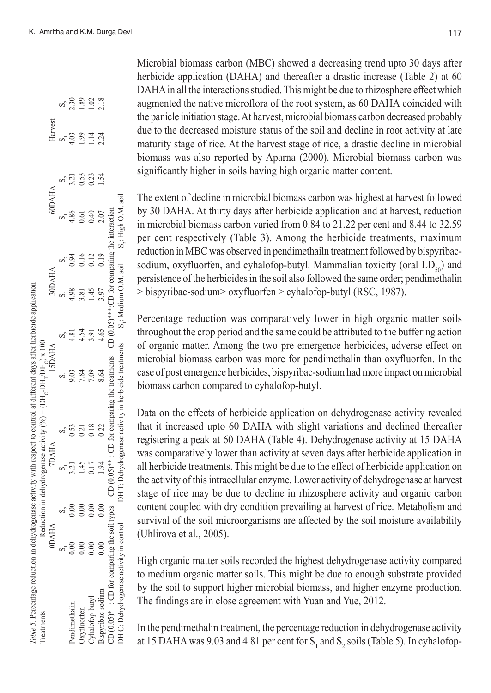99  $\overline{14}$ 

Harvest

 $\frac{8}{18}$  $\frac{8}{2}$ 

 $0.23$ 0.53

 $0.40$ 2.07  $0.61$ 

> $45$ 3.97

S.: High O.M. soil

O (0.05)\*\*\*\*:CD for comparing the interaction

S<sub>i</sub>: Medium O.M. soil

 $0.19$  $0.12$  $0.16$ 

4.65 4.54 3.91

Pendimethalin 4.84 4.86 4.86 4.86 4.86 4.81 4.81 4.81 4.81 3.21 0.53 0.53 0.53 0.53 0.53 0.53 0.53 0.94 4.96 4.96 4.96 Sx1 66.1 5.510 19.10 9.110 18.15 19.51 19.12 1.1210 5.141 0.010 0.010 1.0010 COT tri c,Co 0+50 c,Lo St,T 16,G 60.12 8.1.0 a.120 1.10 0.000 0.000 1.14 1.45 1.091 0.124 1.14 1.45 1.14 1.14 1 Bispyribac sodium 0.00 0.00 1.94 0.22 8.64 4.65 3.97 0.19 2.07 1.54 2.24 2.18

7.84 8.64

 $0.18$  $0.22$  $0.21$ 

 $0.00$  $0.00$  $0.00$ 

 $45$ 0.17 1.94

 $0.00$  $0.000000$  CD (0.05)\* : CD for comparing the soil types CD (0.05)\*\* : CD for comparing the treatments CD (0.05)\*\*\*:CD for comparing the interaction DH C: Dehydrogenase activity in control DH T: Dehydrogenase activity in herbicide treatments S<sub>1</sub>: Medium O.M. soil S<sub>2</sub>: High O.M. soil<br>DH

 $CD(0.05)$ \*\*

types

: CD for comparing the soil

Bispyribac sodium Cyhalofop butyl **Pendimethalin** Oxyfluorfen

 $CD(0.05)*$ 

DH C: Dehydrogenase activity in control

CD for comparing the treatments

DH T: Dehydrogenase activity in herbicide treatments

Microbial biomass carbon (MBC) showed a decreasing trend upto 30 days after herbicide application (DAHA) and thereafter a drastic increase (Table 2) at 60 DAHA in all the interactions studied. This might be due to rhizosphere effect which augmented the native microflora of the root system, as 60 DAHA coincided with the panicle initiation stage. At harvest, microbial biomass carbon decreased probably due to the decreased moisture status of the soil and decline in root activity at late maturity stage of rice. At the harvest stage of rice, a drastic decline in microbial biomass was also reported by Aparna (2000). Microbial biomass carbon was significantly higher in soils having high organic matter content.

The extent of decline in microbial biomass carbon was highest at harvest followed by 30 DAHA. At thirty days after herbicide application and at harvest, reduction in microbial biomass carbon varied from 0.84 to 21.22 per cent and 8.44 to 32.59 per cent respectively (Table 3). Among the herbicide treatments, maximum reduction in MBC was observed in pendimethailn treatment followed by bispyribacsodium, oxyfluorfen, and cyhalofop-butyl. Mammalian toxicity (oral  $LD_{50}$ ) and persistence of the herbicides in the soil also followed the same order; pendimethalin > bispyribac-sodium> oxyfluorfen > cyhalofop-butyl (RSC, 1987).

Percentage reduction was comparatively lower in high organic matter soils throughout the crop period and the same could be attributed to the buffering action of organic matter. Among the two pre emergence herbicides, adverse effect on microbial biomass carbon was more for pendimethalin than oxyfluorfen. In the case of post emergence herbicides, bispyribac-sodium had more impact on microbial biomass carbon compared to cyhalofop-butyl.

Data on the effects of herbicide application on dehydrogenase activity revealed that it increased upto 60 DAHA with slight variations and declined thereafter registering a peak at 60 DAHA (Table 4). Dehydrogenase activity at 15 DAHA was comparatively lower than activity at seven days after herbicide application in all herbicide treatments. This might be due to the effect of herbicide application on the activity of this intracellular enzyme. Lower activity of dehydrogenase at harvest stage of rice may be due to decline in rhizosphere activity and organic carbon content coupled with dry condition prevailing at harvest of rice. Metabolism and survival of the soil microorganisms are affected by the soil moisture availability (Uhlirova et al., 2005).

High organic matter soils recorded the highest dehydrogenase activity compared to medium organic matter soils. This might be due to enough substrate provided by the soil to support higher microbial biomass, and higher enzyme production. The findings are in close agreement with Yuan and Yue, 2012.

In the pendimethalin treatment, the percentage reduction in dehydrogenase activity at 15 DAHA was 9.03 and 4.81 per cent for  $S_1$  and  $S_2$  soils (Table 5). In cyhalofop